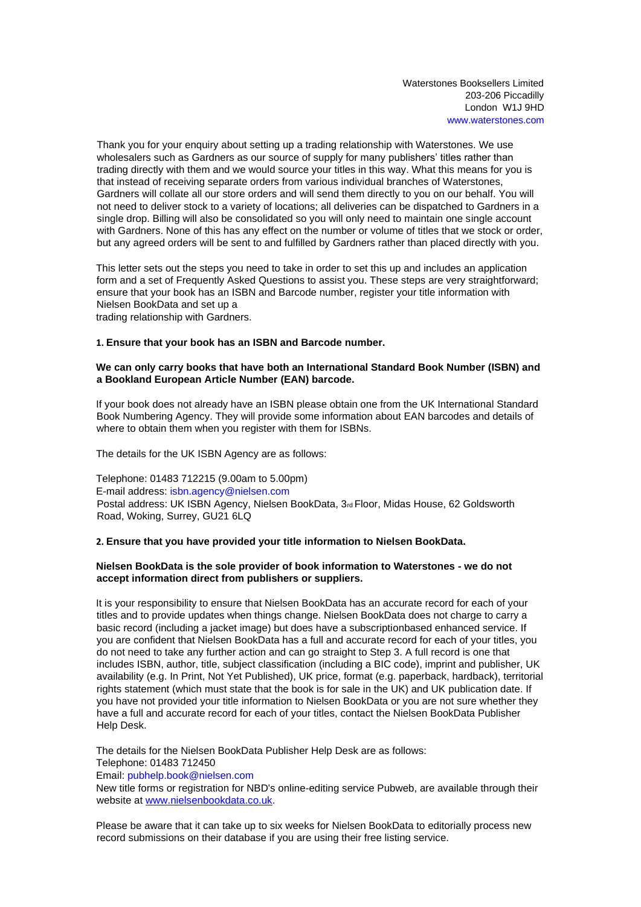Waterstones Booksellers Limited 203-206 Piccadilly London W1J 9HD www.waterstones.com

Thank you for your enquiry about setting up a trading relationship with Waterstones. We use wholesalers such as Gardners as our source of supply for many publishers' titles rather than trading directly with them and we would source your titles in this way. What this means for you is that instead of receiving separate orders from various individual branches of Waterstones, Gardners will collate all our store orders and will send them directly to you on our behalf. You will not need to deliver stock to a variety of locations; all deliveries can be dispatched to Gardners in a single drop. Billing will also be consolidated so you will only need to maintain one single account with Gardners. None of this has any effect on the number or volume of titles that we stock or order, but any agreed orders will be sent to and fulfilled by Gardners rather than placed directly with you.

This letter sets out the steps you need to take in order to set this up and includes an application form and a set of Frequently Asked Questions to assist you. These steps are very straightforward; ensure that your book has an ISBN and Barcode number, register your title information with Nielsen BookData and set up a trading relationship with Gardners.

#### **1. Ensure that your book has an ISBN and Barcode number.**

#### **We can only carry books that have both an International Standard Book Number (ISBN) and a Bookland European Article Number (EAN) barcode.**

If your book does not already have an ISBN please obtain one from the UK International Standard Book Numbering Agency. They will provide some information about EAN barcodes and details of where to obtain them when you register with them for ISBNs.

The details for the UK ISBN Agency are as follows:

Telephone: 01483 712215 (9.00am to 5.00pm) E-mail address: isbn.agency@nielsen.com Postal address: UK ISBN Agency, Nielsen BookData, 3rd Floor, Midas House, 62 Goldsworth Road, Woking, Surrey, GU21 6LQ

# **2. Ensure that you have provided your title information to Nielsen BookData.**

# **Nielsen BookData is the sole provider of book information to Waterstones - we do not accept information direct from publishers or suppliers.**

It is your responsibility to ensure that Nielsen BookData has an accurate record for each of your titles and to provide updates when things change. Nielsen BookData does not charge to carry a basic record (including a jacket image) but does have a subscriptionbased enhanced service. If you are confident that Nielsen BookData has a full and accurate record for each of your titles, you do not need to take any further action and can go straight to Step 3. A full record is one that includes ISBN, author, title, subject classification (including a BIC code), imprint and publisher, UK availability (e.g. In Print, Not Yet Published), UK price, format (e.g. paperback, hardback), territorial rights statement (which must state that the book is for sale in the UK) and UK publication date. If you have not provided your title information to Nielsen BookData or you are not sure whether they have a full and accurate record for each of your titles, contact the Nielsen BookData Publisher Help Desk.

The details for the Nielsen BookData Publisher Help Desk are as follows: Telephone: 01483 712450

Email: pubhelp.book@nielsen.com

New title forms or registration for NBD's online-editing service Pubweb, are available through their website [at www.nielsenbookdata.co.uk.](http://www.nielsenbookdata.co.uk/)

Please be aware that it can take up to six weeks for Nielsen BookData to editorially process new record submissions on their database if you are using their free listing service.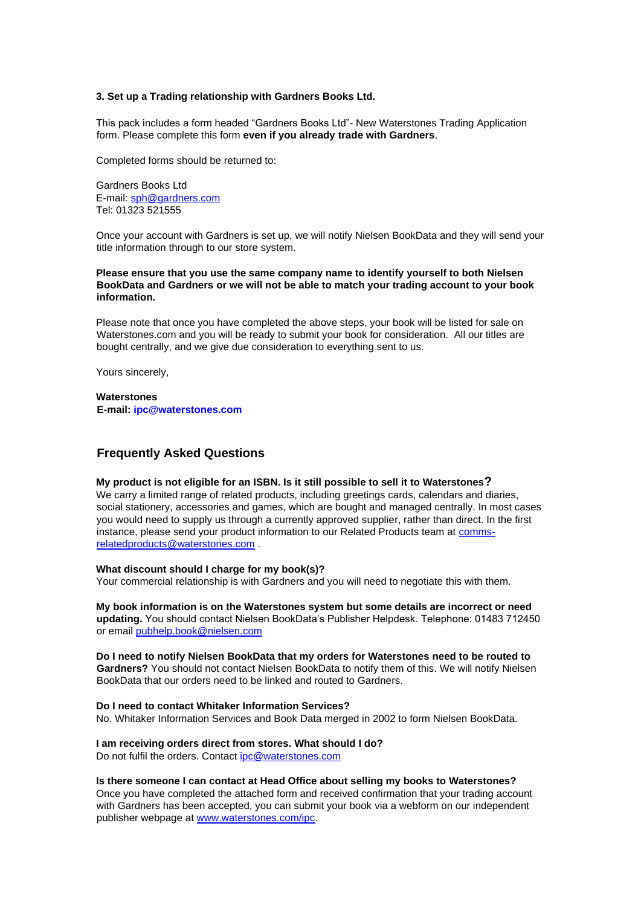#### **3. Set up a Trading relationship with Gardners Books Ltd.**

This pack includes a form headed "Gardners Books Ltd"- New Waterstones Trading Application form. Please complete this form **even if you already trade with Gardners**.

Completed forms should be returned to:

Gardners Books Ltd E-mail: sph@gardners.com Tel: 01323 521555

Once your account with Gardners is set up, we will notify Nielsen BookData and they will send your title information through to our store system.

**Please ensure that you use the same company name to identify yourself to both Nielsen BookData and Gardners or we will not be able to match your trading account to your book information.**

Please note that once you have completed the above steps, your book will be listed for sale on Waterstones.com and you will be ready to submit your book for consideration. All our titles are bought centrally, and we give due consideration to everything sent to us.

Yours sincerely,

**Waterstones E-mail: ipc@waterstones.com** 

# **Frequently Asked Questions**

# **My product is not eligible for an ISBN. Is it still possible to sell it to Waterstones?**

We carry a limited range of related products, including greetings cards, calendars and diaries, social stationery, accessories and games, which are bought and managed centrally. In most cases you would need to supply us through a currently approved supplier, rather than direct. In the first instance, please send your product information to our Related Products team at commsrelatedproducts@waterstones.com .

#### **What discount should I charge for my book(s)?**

Your commercial relationship is with Gardners and you will need to negotiate this with them.

**My book information is on the Waterstones system but some details are incorrect or need updating.** You should contact Nielsen BookData's Publisher Helpdesk. Telephone: 01483 712450 or email pubhelp.book@nielsen.com

**Do I need to notify Nielsen BookData that my orders for Waterstones need to be routed to Gardners?** You should not contact Nielsen BookData to notify them of this. We will notify Nielsen BookData that our orders need to be linked and routed to Gardners.

#### **Do I need to contact Whitaker Information Services?**

No. Whitaker Information Services and Book Data merged in 2002 to form Nielsen BookData.

#### **I am receiving orders direct from stores. What should I do?**

Do not fulfil the orders. Contact ipc@waterstones.com

#### **Is there someone I can contact at Head Office about selling my books to Waterstones?**

Once you have completed the attached form and received confirmation that your trading account with Gardners has been accepted, you can submit your book via a webform on our independent publisher webpage [at www.waterstones.com/ipc.](http://www.waterstones.com/ipc)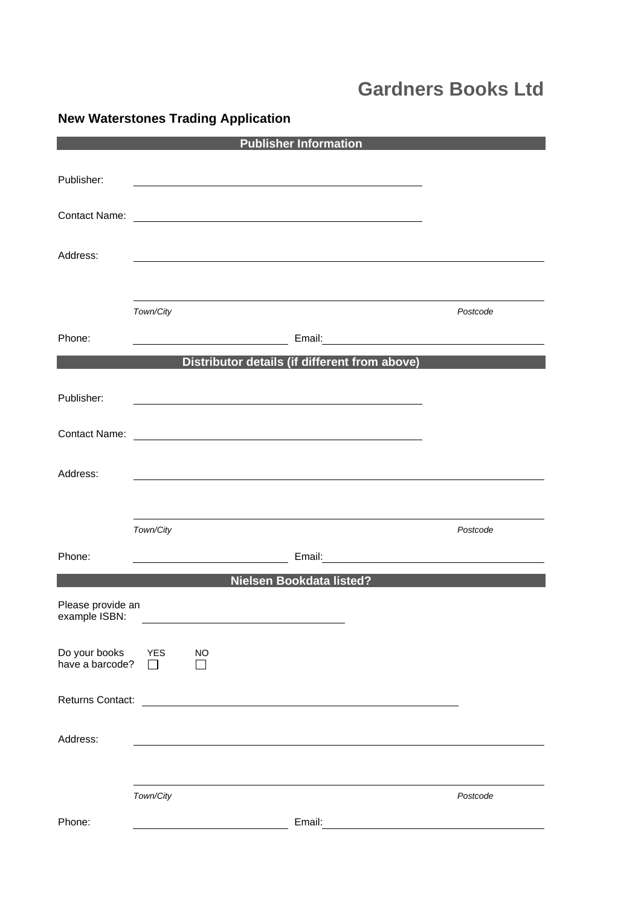# **Gardners Books Ltd**

|                                    |            |                                             | <b>Publisher Information</b>                                                                                          |                                               |                                      |
|------------------------------------|------------|---------------------------------------------|-----------------------------------------------------------------------------------------------------------------------|-----------------------------------------------|--------------------------------------|
|                                    |            |                                             |                                                                                                                       |                                               |                                      |
| Publisher:                         |            |                                             |                                                                                                                       |                                               |                                      |
|                                    |            |                                             |                                                                                                                       |                                               |                                      |
|                                    |            |                                             |                                                                                                                       |                                               |                                      |
|                                    |            |                                             |                                                                                                                       |                                               |                                      |
| Address:                           |            |                                             |                                                                                                                       |                                               |                                      |
|                                    |            |                                             |                                                                                                                       |                                               |                                      |
|                                    |            |                                             |                                                                                                                       |                                               |                                      |
|                                    | Town/City  |                                             |                                                                                                                       |                                               | Postcode                             |
| Phone:                             |            |                                             |                                                                                                                       |                                               | Email: <u>Contract Communication</u> |
|                                    |            |                                             |                                                                                                                       | Distributor details (if different from above) |                                      |
|                                    |            |                                             |                                                                                                                       |                                               |                                      |
| Publisher:                         |            |                                             | <u> 1989 - Johann Barbara, martxa alemaniar arg</u>                                                                   |                                               |                                      |
|                                    |            |                                             |                                                                                                                       |                                               |                                      |
|                                    |            |                                             |                                                                                                                       |                                               |                                      |
|                                    |            |                                             |                                                                                                                       |                                               |                                      |
| Address:                           |            |                                             |                                                                                                                       |                                               |                                      |
|                                    |            |                                             |                                                                                                                       |                                               |                                      |
|                                    |            |                                             |                                                                                                                       |                                               |                                      |
|                                    | Town/City  |                                             |                                                                                                                       |                                               | Postcode                             |
| Phone:                             |            | <u> 1989 - Johann Barn, mars ann an t-A</u> |                                                                                                                       |                                               | Email: <u>Contract Communication</u> |
|                                    |            |                                             | Nielsen Bookdata listed?                                                                                              |                                               |                                      |
|                                    |            |                                             |                                                                                                                       |                                               |                                      |
| Please provide an<br>example ISBN: |            |                                             |                                                                                                                       |                                               |                                      |
|                                    |            |                                             |                                                                                                                       |                                               |                                      |
| Do your books                      | <b>YES</b> | <b>NO</b>                                   |                                                                                                                       |                                               |                                      |
| have a barcode?                    |            |                                             |                                                                                                                       |                                               |                                      |
| Returns Contact:                   |            |                                             |                                                                                                                       |                                               |                                      |
|                                    |            |                                             | <u> 1989 - Johann Harry Harry Harry Harry Harry Harry Harry Harry Harry Harry Harry Harry Harry Harry Harry Harry</u> |                                               |                                      |
|                                    |            |                                             |                                                                                                                       |                                               |                                      |
| Address:                           |            |                                             |                                                                                                                       |                                               |                                      |
|                                    |            |                                             |                                                                                                                       |                                               |                                      |
|                                    | Town/City  |                                             |                                                                                                                       |                                               | Postcode                             |
|                                    |            |                                             |                                                                                                                       |                                               |                                      |
| Phone:                             |            |                                             | Email:                                                                                                                |                                               |                                      |

# **New Waterstones Trading Application**